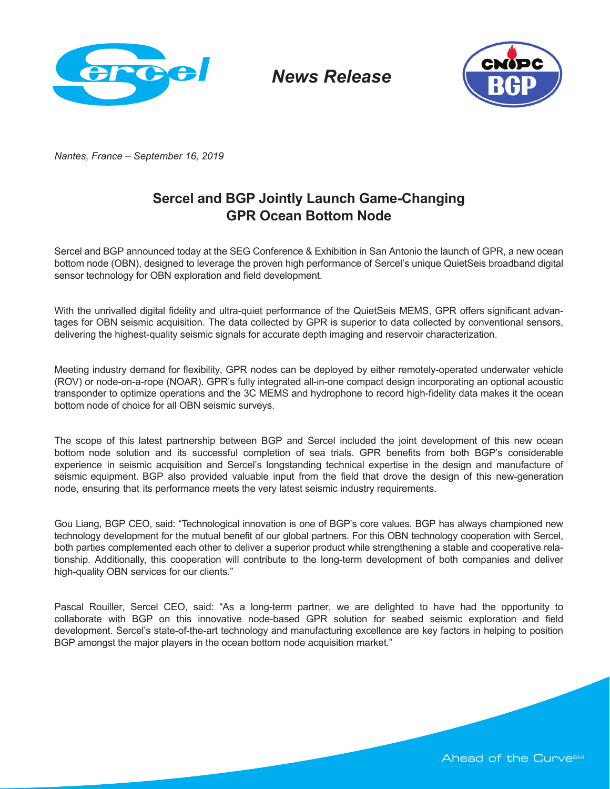

*News Release*



*Nantes, France – September 16, 2019*

## **Sercel and BGP Jointly Launch Game-Changing GPR Ocean Bottom Node**

Sercel and BGP announced today at the SEG Conference & Exhibition in San Antonio the launch of GPR, a new ocean bottom node (OBN), designed to leverage the proven high performance of Sercel's unique QuietSeis broadband digital sensor technology for OBN exploration and field development.

With the unrivalled digital fidelity and ultra-quiet performance of the QuietSeis MEMS, GPR offers significant advantages for OBN seismic acquisition. The data collected by GPR is superior to data collected by conventional sensors, delivering the highest-quality seismic signals for accurate depth imaging and reservoir characterization.

Meeting industry demand for flexibility, GPR nodes can be deployed by either remotely-operated underwater vehicle (ROV) or node-on-a-rope (NOAR). GPR's fully integrated all-in-one compact design incorporating an optional acoustic transponder to optimize operations and the 3C MEMS and hydrophone to record high-fidelity data makes it the ocean bottom node of choice for all OBN seismic surveys.

The scope of this latest partnership between BGP and Sercel included the joint development of this new ocean bottom node solution and its successful completion of sea trials. GPR benefits from both BGP's considerable experience in seismic acquisition and Sercel's longstanding technical expertise in the design and manufacture of seismic equipment. BGP also provided valuable input from the field that drove the design of this new-generation node, ensuring that its performance meets the very latest seismic industry requirements.

Gou Liang, BGP CEO, said: "Technological innovation is one of BGP's core values. BGP has always championed new technology development for the mutual benefit of our global partners. For this OBN technology cooperation with Sercel, both parties complemented each other to deliver a superior product while strengthening a stable and cooperative relationship. Additionally, this cooperation will contribute to the long-term development of both companies and deliver high-quality OBN services for our clients."

Pascal Rouiller, Sercel CEO, said: "As a long-term partner, we are delighted to have had the opportunity to collaborate with BGP on this innovative node-based GPR solution for seabed seismic exploration and field development. Sercel's state-of-the-art technology and manufacturing excellence are key factors in helping to position BGP amongst the major players in the ocean bottom node acquisition market."

Ahead of the Curve<sup>sM</sup>